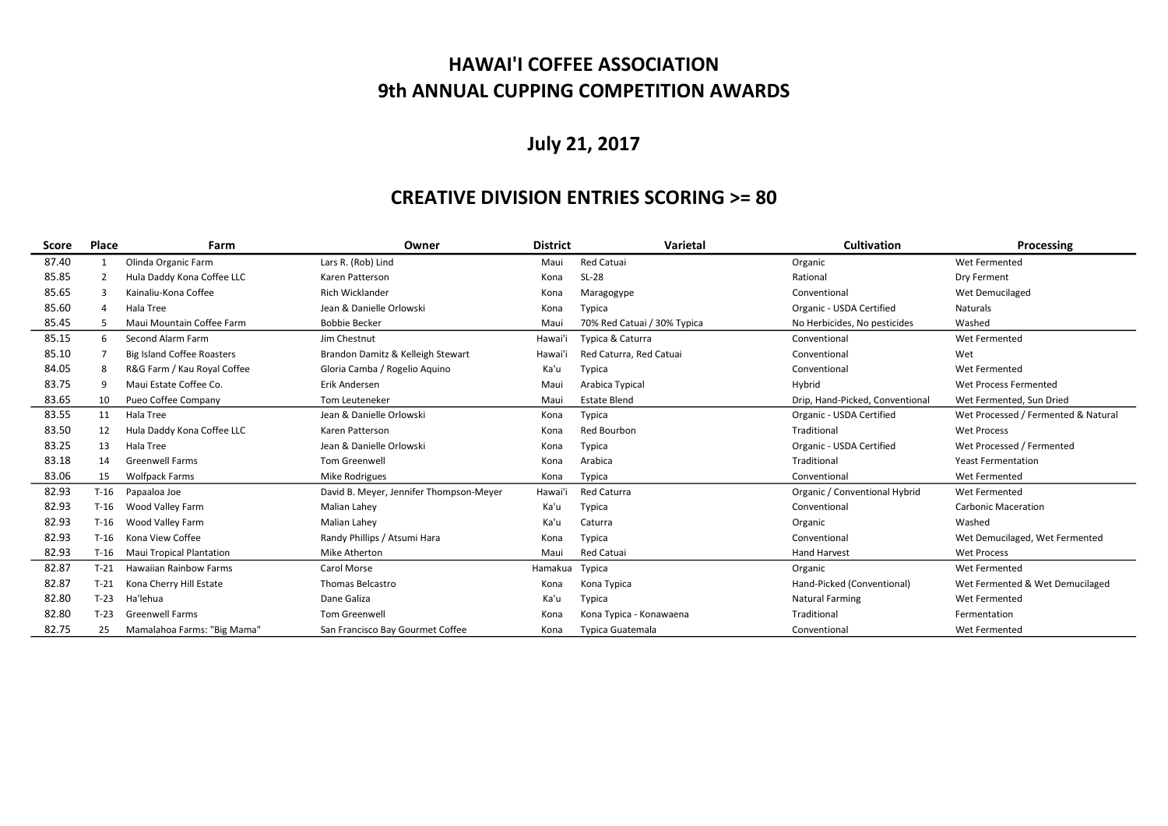## HAWAI'I COFFEE ASSOCIATION 9th ANNUAL CUPPING COMPETITION AWARDS

# July 21, 2017

### CREATIVE DIVISION ENTRIES SCORING >= 80

| <b>Score</b> | Place          | Farm                              | Owner                                   | <b>District</b> | Varietal                    | <b>Cultivation</b>              | Processing                          |
|--------------|----------------|-----------------------------------|-----------------------------------------|-----------------|-----------------------------|---------------------------------|-------------------------------------|
| 87.40        |                | Olinda Organic Farm               | Lars R. (Rob) Lind                      | Maui            | Red Catuai                  | Organic                         | Wet Fermented                       |
| 85.85        | $\overline{2}$ | Hula Daddy Kona Coffee LLC        | Karen Patterson                         | Kona            | SL-28                       | Rational                        | Dry Ferment                         |
| 85.65        | -3             | Kainaliu-Kona Coffee              | <b>Rich Wicklander</b>                  | Kona            | Maragogype                  | Conventional                    | Wet Demucilaged                     |
| 85.60        |                | Hala Tree                         | Jean & Danielle Orlowski                | Kona            | Typica                      | Organic - USDA Certified        | <b>Naturals</b>                     |
| 85.45        |                | Maui Mountain Coffee Farm         | <b>Bobbie Becker</b>                    | Maui            | 70% Red Catuai / 30% Typica | No Herbicides, No pesticides    | Washed                              |
| 85.15        | 6              | Second Alarm Farm                 | Jim Chestnut                            | Hawai'i         | Typica & Caturra            | Conventional                    | Wet Fermented                       |
| 85.10        |                | <b>Big Island Coffee Roasters</b> | Brandon Damitz & Kelleigh Stewart       | Hawai'i         | Red Caturra, Red Catuai     | Conventional                    | Wet                                 |
| 84.05        | 8              | R&G Farm / Kau Royal Coffee       | Gloria Camba / Rogelio Aquino           | Ka'u            | Typica                      | Conventional                    | Wet Fermented                       |
| 83.75        | -9             | Maui Estate Coffee Co.            | Erik Andersen                           | Maui            | Arabica Typical             | Hybrid                          | Wet Process Fermented               |
| 83.65        | 10             | Pueo Coffee Company               | <b>Tom Leuteneker</b>                   | Maui            | <b>Estate Blend</b>         | Drip, Hand-Picked, Conventional | Wet Fermented, Sun Dried            |
| 83.55        | 11             | Hala Tree                         | Jean & Danielle Orlowski                | Kona            | Typica                      | Organic - USDA Certified        | Wet Processed / Fermented & Natural |
| 83.50        | 12             | Hula Daddy Kona Coffee LLC        | Karen Patterson                         | Kona            | Red Bourbon                 | Traditional                     | <b>Wet Process</b>                  |
| 83.25        | 13             | Hala Tree                         | Jean & Danielle Orlowski                | Kona            | Typica                      | Organic - USDA Certified        | Wet Processed / Fermented           |
| 83.18        | 14             | <b>Greenwell Farms</b>            | Tom Greenwell                           | Kona            | Arabica                     | Traditional                     | <b>Yeast Fermentation</b>           |
| 83.06        | 15             | <b>Wolfpack Farms</b>             | Mike Rodrigues                          | Kona            | Typica                      | Conventional                    | Wet Fermented                       |
| 82.93        | $T-16$         | Papaaloa Joe                      | David B. Meyer, Jennifer Thompson-Meyer | Hawai'i         | <b>Red Caturra</b>          | Organic / Conventional Hybrid   | Wet Fermented                       |
| 82.93        | $T-16$         | Wood Valley Farm                  | Malian Lahey                            | Ka'u            | Typica                      | Conventional                    | <b>Carbonic Maceration</b>          |
| 82.93        | $T-16$         | Wood Valley Farm                  | Malian Lahey                            | Ka'u            | Caturra                     | Organic                         | Washed                              |
| 82.93        | $T-16$         | Kona View Coffee                  | Randy Phillips / Atsumi Hara            | Kona            | Typica                      | Conventional                    | Wet Demucilaged, Wet Fermented      |
| 82.93        | $T-16$         | <b>Maui Tropical Plantation</b>   | Mike Atherton                           | Maui            | Red Catuai                  | <b>Hand Harvest</b>             | <b>Wet Process</b>                  |
| 82.87        | $T-21$         | <b>Hawaiian Rainbow Farms</b>     | Carol Morse                             | Hamakua         | Typica                      | Organic                         | Wet Fermented                       |
| 82.87        | $T-21$         | Kona Cherry Hill Estate           | <b>Thomas Belcastro</b>                 | Kona            | Kona Typica                 | Hand-Picked (Conventional)      | Wet Fermented & Wet Demucilaged     |
| 82.80        | $T-23$         | Ha'lehua                          | Dane Galiza                             | Ka'u            | Typica                      | <b>Natural Farming</b>          | Wet Fermented                       |
| 82.80        | $T-23$         | <b>Greenwell Farms</b>            | Tom Greenwell                           | Kona            | Kona Typica - Konawaena     | Traditional                     | Fermentation                        |
| 82.75        | 25             | Mamalahoa Farms: "Big Mama"       | San Francisco Bay Gourmet Coffee        | Kona            | <b>Typica Guatemala</b>     | Conventional                    | Wet Fermented                       |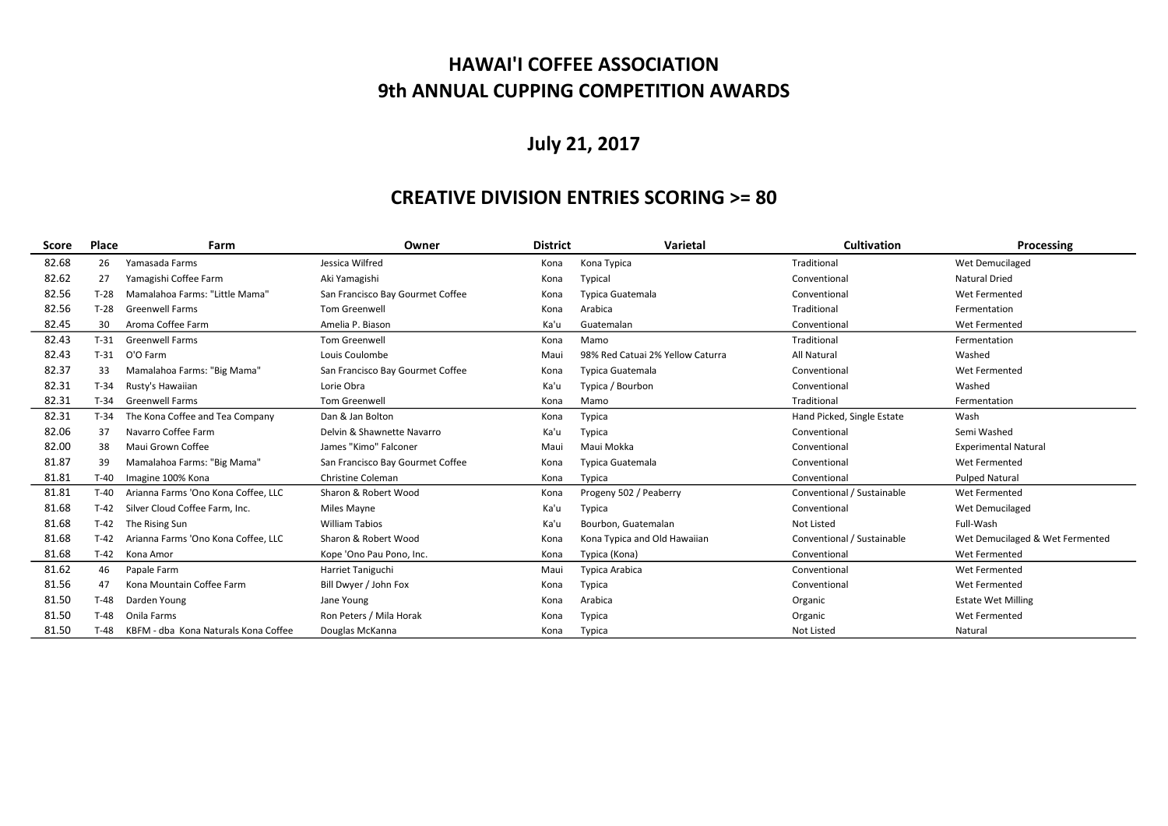## HAWAI'I COFFEE ASSOCIATION 9th ANNUAL CUPPING COMPETITION AWARDS

# July 21, 2017

### CREATIVE DIVISION ENTRIES SCORING >= 80

| Score | Place  | Farm                                 | Owner                            | <b>District</b> | Varietal                         | <b>Cultivation</b>         | Processing                      |
|-------|--------|--------------------------------------|----------------------------------|-----------------|----------------------------------|----------------------------|---------------------------------|
| 82.68 | 26     | Yamasada Farms                       | Jessica Wilfred                  | Kona            | Kona Typica                      | Traditional                | Wet Demucilaged                 |
| 82.62 | 27     | Yamagishi Coffee Farm                | Aki Yamagishi                    | Kona            | Typical                          | Conventional               | <b>Natural Dried</b>            |
| 82.56 | $T-28$ | Mamalahoa Farms: "Little Mama"       | San Francisco Bay Gourmet Coffee | Kona            | Typica Guatemala                 | Conventional               | Wet Fermented                   |
| 82.56 | $T-28$ | <b>Greenwell Farms</b>               | <b>Tom Greenwell</b>             | Kona            | Arabica                          | Traditional                | Fermentation                    |
| 82.45 | 30     | Aroma Coffee Farm                    | Amelia P. Biason                 | Ka'u            | Guatemalan                       | Conventional               | Wet Fermented                   |
| 82.43 | $T-31$ | <b>Greenwell Farms</b>               | <b>Tom Greenwell</b>             | Kona            | Mamo                             | Traditional                | Fermentation                    |
| 82.43 | $T-31$ | O'O Farm                             | Louis Coulombe                   | Maui            | 98% Red Catuai 2% Yellow Caturra | <b>All Natural</b>         | Washed                          |
| 82.37 | 33     | Mamalahoa Farms: "Big Mama"          | San Francisco Bay Gourmet Coffee | Kona            | Typica Guatemala                 | Conventional               | Wet Fermented                   |
| 82.31 | $T-34$ | Rusty's Hawaiian                     | Lorie Obra                       | Ka'u            | Typica / Bourbon                 | Conventional               | Washed                          |
| 82.31 | $T-34$ | <b>Greenwell Farms</b>               | <b>Tom Greenwell</b>             | Kona            | Mamo                             | Traditional                | Fermentation                    |
| 82.31 | $T-34$ | The Kona Coffee and Tea Company      | Dan & Jan Bolton                 | Kona            | Typica                           | Hand Picked, Single Estate | Wash                            |
| 82.06 | 37     | Navarro Coffee Farm                  | Delvin & Shawnette Navarro       | Ka'u            | Typica                           | Conventional               | Semi Washed                     |
| 82.00 | 38     | Maui Grown Coffee                    | James "Kimo" Falconer            | Maui            | Maui Mokka                       | Conventional               | <b>Experimental Natural</b>     |
| 81.87 | 39     | Mamalahoa Farms: "Big Mama"          | San Francisco Bay Gourmet Coffee | Kona            | Typica Guatemala                 | Conventional               | Wet Fermented                   |
| 81.81 | T-40   | Imagine 100% Kona                    | Christine Coleman                | Kona            | Typica                           | Conventional               | <b>Pulped Natural</b>           |
| 81.81 | $T-40$ | Arianna Farms 'Ono Kona Coffee, LLC  | Sharon & Robert Wood             | Kona            | Progeny 502 / Peaberry           | Conventional / Sustainable | Wet Fermented                   |
| 81.68 | $T-42$ | Silver Cloud Coffee Farm, Inc.       | Miles Mayne                      | Ka'u            | Typica                           | Conventional               | Wet Demucilaged                 |
| 81.68 | $T-42$ | The Rising Sun                       | <b>William Tabios</b>            | Ka'u            | Bourbon, Guatemalan              | Not Listed                 | Full-Wash                       |
| 81.68 | $T-42$ | Arianna Farms 'Ono Kona Coffee, LLC  | Sharon & Robert Wood             | Kona            | Kona Typica and Old Hawaiian     | Conventional / Sustainable | Wet Demucilaged & Wet Fermented |
| 81.68 | T-42   | Kona Amor                            | Kope 'Ono Pau Pono, Inc.         | Kona            | Typica (Kona)                    | Conventional               | Wet Fermented                   |
| 81.62 | 46     | Papale Farm                          | Harriet Taniguchi                | Maui            | Typica Arabica                   | Conventional               | Wet Fermented                   |
| 81.56 | 47     | Kona Mountain Coffee Farm            | Bill Dwyer / John Fox            | Kona            | Typica                           | Conventional               | Wet Fermented                   |
| 81.50 | $T-48$ | Darden Young                         | Jane Young                       | Kona            | Arabica                          | Organic                    | <b>Estate Wet Milling</b>       |
| 81.50 | $T-48$ | Onila Farms                          | Ron Peters / Mila Horak          | Kona            | Typica                           | Organic                    | Wet Fermented                   |
| 81.50 | T-48   | KBFM - dba Kona Naturals Kona Coffee | Douglas McKanna                  | Kona            | Typica                           | <b>Not Listed</b>          | Natural                         |